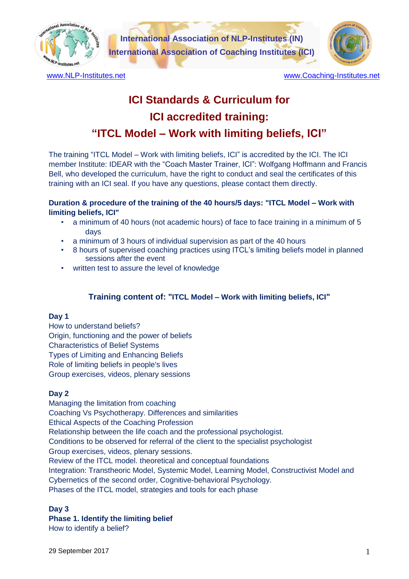

**International Association of NLP-Institutes (IN) International Association of Coaching Institutes (ICI)**



[www.NLP-Institutes.net](http://www.nlp-institutes.net/) example and the [www.Coaching-Institutes.net](http://www.coaching-institutes.net/)

# **ICI Standards & Curriculum for ICI accredited training: "ITCL Model – Work with limiting beliefs, ICI"**

The training "ITCL Model – Work with limiting beliefs, ICI" is accredited by the ICI. The ICI member Institute: IDEAR with the "Coach Master Trainer, ICI": Wolfgang Hoffmann and Francis Bell, who developed the curriculum, have the right to conduct and seal the certificates of this training with an ICI seal. If you have any questions, please contact them directly.

# **Duration & procedure of the training of the 40 hours/5 days: "ITCL Model – Work with limiting beliefs, ICI"**

- a minimum of 40 hours (not academic hours) of face to face training in a minimum of 5 days
- a minimum of 3 hours of individual supervision as part of the 40 hours
- 8 hours of supervised coaching practices using ITCL's limiting beliefs model in planned sessions after the event
- written test to assure the level of knowledge

# **Training content of: "ITCL Model – Work with limiting beliefs, ICI"**

#### **Day 1**

How to understand beliefs? Origin, functioning and the power of beliefs Characteristics of Belief Systems Types of Limiting and Enhancing Beliefs Role of limiting beliefs in people's lives Group exercises, videos, plenary sessions

#### **Day 2**

Managing the limitation from coaching Coaching Vs Psychotherapy. Differences and similarities Ethical Aspects of the Coaching Profession Relationship between the life coach and the professional psychologist. Conditions to be observed for referral of the client to the specialist psychologist Group exercises, videos, plenary sessions. Review of the ITCL model. theoretical and conceptual foundations Integration: Transtheoric Model, Systemic Model, Learning Model, Constructivist Model and Cybernetics of the second order, Cognitive-behavioral Psychology. Phases of the ITCL model, strategies and tools for each phase

#### **Day 3**

# **Phase 1. Identify the limiting belief**

How to identify a belief?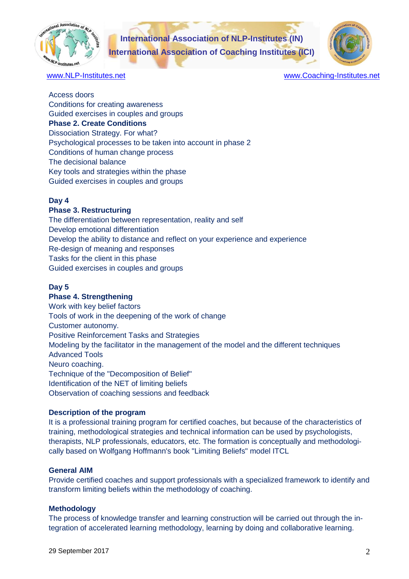

**International Association of NLP-Institutes (IN) International Association of Coaching Institutes (ICI)**



[www.NLP-Institutes.net](http://www.nlp-institutes.net/) example and [www.Coaching-Institutes.net](http://www.coaching-institutes.net/)

Access doors Conditions for creating awareness Guided exercises in couples and groups **Phase 2. Create Conditions** Dissociation Strategy. For what? Psychological processes to be taken into account in phase 2 Conditions of human change process The decisional balance Key tools and strategies within the phase Guided exercises in couples and groups

# **Day 4**

### **Phase 3. Restructuring**

The differentiation between representation, reality and self Develop emotional differentiation Develop the ability to distance and reflect on your experience and experience Re-design of meaning and responses Tasks for the client in this phase Guided exercises in couples and groups

# **Day 5**

#### **Phase 4. Strengthening**

Work with key belief factors Tools of work in the deepening of the work of change Customer autonomy. Positive Reinforcement Tasks and Strategies Modeling by the facilitator in the management of the model and the different techniques Advanced Tools Neuro coaching. Technique of the "Decomposition of Belief" Identification of the NET of limiting beliefs Observation of coaching sessions and feedback

#### **Description of the program**

It is a professional training program for certified coaches, but because of the characteristics of training, methodological strategies and technical information can be used by psychologists, therapists, NLP professionals, educators, etc. The formation is conceptually and methodologically based on Wolfgang Hoffmann's book "Limiting Beliefs" model ITCL

# **General AIM**

Provide certified coaches and support professionals with a specialized framework to identify and transform limiting beliefs within the methodology of coaching.

#### **Methodology**

The process of knowledge transfer and learning construction will be carried out through the integration of accelerated learning methodology, learning by doing and collaborative learning.